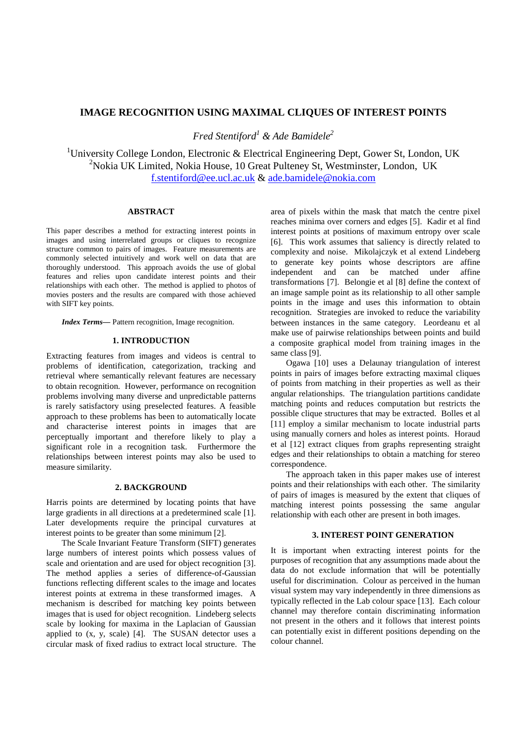# **IMAGE RECOGNITION USING MAXIMAL CLIQUES OF INTEREST POINTS**

*Fred Stentiford<sup>1</sup> & Ade Bamidele<sup>2</sup>*

<sup>1</sup>University College London, Electronic & Electrical Engineering Dept, Gower St, London, UK <sup>2</sup>Nokia UK Limited, Nokia House, 10 Great Pulteney St, Westminster, London, UK f.stentiford@ee.ucl.ac.uk & ade.bamidele@nokia.com

## **ABSTRACT**

This paper describes a method for extracting interest points in images and using interrelated groups or cliques to recognize structure common to pairs of images. Feature measurements are commonly selected intuitively and work well on data that are thoroughly understood. This approach avoids the use of global features and relies upon candidate interest points and their relationships with each other. The method is applied to photos of movies posters and the results are compared with those achieved with SIFT key points.

*Index Terms—* Pattern recognition, Image recognition.

#### **1. INTRODUCTION**

Extracting features from images and videos is central to problems of identification, categorization, tracking and retrieval where semantically relevant features are necessary to obtain recognition. However, performance on recognition problems involving many diverse and unpredictable patterns is rarely satisfactory using preselected features. A feasible approach to these problems has been to automatically locate and characterise interest points in images that are perceptually important and therefore likely to play a significant role in a recognition task. Furthermore the relationships between interest points may also be used to measure similarity.

## **2. BACKGROUND**

Harris points are determined by locating points that have large gradients in all directions at a predetermined scale [1]. Later developments require the principal curvatures at interest points to be greater than some minimum [2].

The Scale Invariant Feature Transform (SIFT) generates large numbers of interest points which possess values of scale and orientation and are used for object recognition [3]. The method applies a series of difference-of-Gaussian functions reflecting different scales to the image and locates interest points at extrema in these transformed images. A mechanism is described for matching key points between images that is used for object recognition. Lindeberg selects scale by looking for maxima in the Laplacian of Gaussian applied to  $(x, y, scale)$  [4]. The SUSAN detector uses a circular mask of fixed radius to extract local structure. The

area of pixels within the mask that match the centre pixel reaches minima over corners and edges [5]. Kadir et al find interest points at positions of maximum entropy over scale [6]. This work assumes that saliency is directly related to complexity and noise. Mikolajczyk et al extend Lindeberg to generate key points whose descriptors are affine independent and can be matched under affine transformations [7]. Belongie et al [8] define the context of an image sample point as its relationship to all other sample points in the image and uses this information to obtain recognition. Strategies are invoked to reduce the variability between instances in the same category. Leordeanu et al make use of pairwise relationships between points and build a composite graphical model from training images in the same class [9].

Ogawa [10] uses a Delaunay triangulation of interest points in pairs of images before extracting maximal cliques of points from matching in their properties as well as their angular relationships. The triangulation partitions candidate matching points and reduces computation but restricts the possible clique structures that may be extracted. Bolles et al [11] employ a similar mechanism to locate industrial parts using manually corners and holes as interest points. Horaud et al [12] extract cliques from graphs representing straight edges and their relationships to obtain a matching for stereo correspondence.

The approach taken in this paper makes use of interest points and their relationships with each other. The similarity of pairs of images is measured by the extent that cliques of matching interest points possessing the same angular relationship with each other are present in both images.

#### **3. INTEREST POINT GENERATION**

It is important when extracting interest points for the purposes of recognition that any assumptions made about the data do not exclude information that will be potentially useful for discrimination. Colour as perceived in the human visual system may vary independently in three dimensions as typically reflected in the Lab colour space [13]. Each colour channel may therefore contain discriminating information not present in the others and it follows that interest points can potentially exist in different positions depending on the colour channel.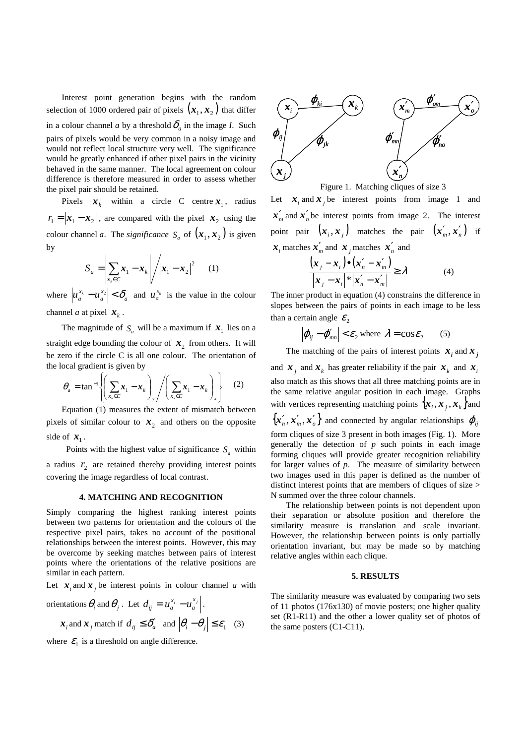Interest point generation begins with the random selection of 1000 ordered pair of pixels  $(x_1, x_2)$  that differ in a colour channel *a* by a threshold  $\delta_a$  in the image *I*. Such pairs of pixels would be very common in a noisy image and would not reflect local structure very well. The significance would be greatly enhanced if other pixel pairs in the vicinity behaved in the same manner. The local agreement on colour difference is therefore measured in order to assess whether the pixel pair should be retained.

Pixels  $\mathbf{x}_k$  within a circle C centre  $\mathbf{x}_1$ , radius  $r_1 = |\mathbf{x}_1 - \mathbf{x}_2|$ , are compared with the pixel  $\mathbf{x}_2$  using the colour channel *a*. The *significance*  $S_a$  of  $(x_1, x_2)$  is given by  $\mathbf{r}$ 

$$
S_a = \left| \sum_{x_k \in C} x_1 - x_k \right| / \left| x_1 - x_2 \right|^2 \tag{1}
$$

where  $|u_a^{\lambda_k} - u_a^{\lambda_2}| < \delta_a$ *x a x*  $|u_a^{x_k} - u_a^{x_2}| < \delta_a$  and  $u_a^{x_k}$  is the value in the colour channel *a* at pixel  $\mathbf{x}_k$ .

The magnitude of  $S_a$  will be a maximum if  $\mathbf{x}_1$  lies on a

straight edge bounding the colour of  $x_2$  from others. It will be zero if the circle C is all one colour. The orientation of the local gradient is given by

$$
\theta_a = \tan^{-1} \left\{ \left( \sum_{\mathbf{x}_k \in C} \mathbf{x}_1 - \mathbf{x}_k \right)_y / \left( \sum_{\mathbf{x}_k \in C} \mathbf{x}_1 - \mathbf{x}_k \right)_x \right\} \tag{2}
$$

Equation (1) measures the extent of mismatch between pixels of similar colour to  $x_2$  and others on the opposite side of  $x_1$ .

Points with the highest value of significance  $S_a$  within a radius  $r_2$  are retained thereby providing interest points covering the image regardless of local contrast.

### **4. MATCHING AND RECOGNITION**

Simply comparing the highest ranking interest points between two patterns for orientation and the colours of the respective pixel pairs, takes no account of the positional relationships between the interest points. However, this may be overcome by seeking matches between pairs of interest points where the orientations of the relative positions are similar in each pattern.

Let  $\mathbf{x}_i$  and  $\mathbf{x}_j$  be interest points in colour channel *a* with

orientations 
$$
\theta_i
$$
 and  $\theta_j$ . Let  $d_{ij} = \left| u_a^{x_i} - u_a^{x_j} \right|$ .  
\n $\boldsymbol{x}_i$  and  $\boldsymbol{x}_j$  match if  $d_{ij} \le \delta_a'$  and  $\left| \theta_i - \theta_j \right| \le \varepsilon_1$  (3)

where  $\mathcal{E}_1$  is a threshold on angle difference.



Figure 1. Matching cliques of size 3

Let  $\mathbf{x}_i$  and  $\mathbf{x}_j$  be interest points from image 1 and  $x'_m$  and  $x'_n$  be interest points from image 2. The interest point pair  $(x_i, x_j)$  matches the pair  $(x'_m, x'_n)$  if  $\mathbf{x}_i$  matches  $\mathbf{x}'_m$  and  $\mathbf{x}_j$  matches  $\mathbf{x}'_n$  and

$$
\frac{(x_j - x_i) \bullet (x'_n - x'_m)}{|x_j - x_i|^{*}|x'_n - x'_m|} \ge \lambda
$$
\n(4)

The inner product in equation (4) constrains the difference in slopes between the pairs of points in each image to be less than a certain angle  $\varepsilon$ <sub>2</sub>

$$
\left| \boldsymbol{\varphi}_{ij} - \boldsymbol{\varphi}'_{mn} \right| < \varepsilon_2 \text{ where } \lambda = \cos \varepsilon_2 \qquad (5)
$$

The matching of the pairs of interest points  $x_i$  and  $x_j$ 

and  $\boldsymbol{x}_j$  and  $\boldsymbol{x}_k$  has greater reliability if the pair  $\boldsymbol{x}_k$  and  $\boldsymbol{x}_i$ also match as this shows that all three matching points are in the same relative angular position in each image. Graphs with vertices representing matching points  $\{x_i, x_j, x_k\}$  and  $\{{\boldsymbol x}_n', {\boldsymbol x}_m', {\boldsymbol x}_o'\}$  and connected by angular relationships  $\bm{\varphi}_{ij}$ form cliques of size 3 present in both images (Fig. 1). More generally the detection of  $p$  such points in each image forming cliques will provide greater recognition reliability for larger values of *p*. The measure of similarity between two images used in this paper is defined as the number of distinct interest points that are members of cliques of size > N summed over the three colour channels.

The relationship between points is not dependent upon their separation or absolute position and therefore the similarity measure is translation and scale invariant. However, the relationship between points is only partially orientation invariant, but may be made so by matching relative angles within each clique.

### **5. RESULTS**

The similarity measure was evaluated by comparing two sets of 11 photos (176x130) of movie posters; one higher quality set (R1-R11) and the other a lower quality set of photos of the same posters (C1-C11).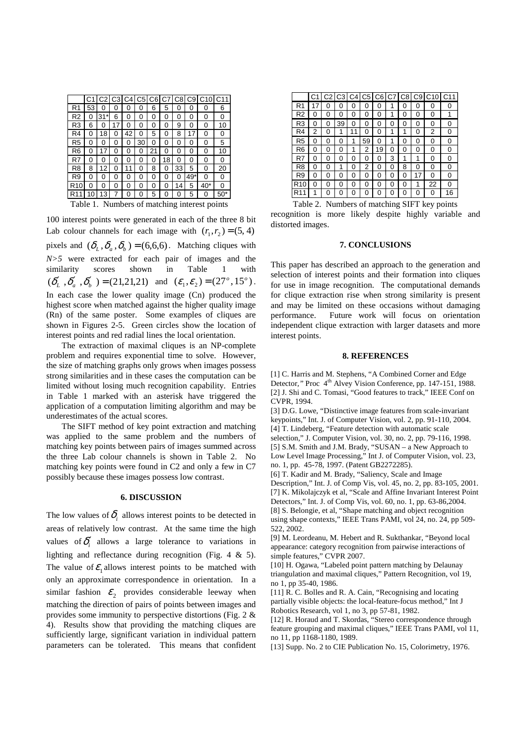|                                                | C1 |      | C3 |    |    |    |    |    |     | C4 C5 C6 C7 C8 C9 C10 C11 |        |
|------------------------------------------------|----|------|----|----|----|----|----|----|-----|---------------------------|--------|
| R1                                             | 53 | 0    | 0  | 0  | 0  | 6  | 5  | Ω  | 0   | 0                         | 6      |
| R2                                             | 0  | 31*l | 6  | 0  | 0  | 0  | 0  | 0  | 0   | 0                         | 0      |
| R3                                             | 6  | 0    | 17 | 0  | ი  | ი  | Ω  | 9  | ი   | 0                         | 10     |
| R4                                             | Ω  | 18   | 0  | 42 | ი  | 5  | Ω  | 8  | 17  | 0                         | 0      |
| R <sub>5</sub>                                 | 0  | 0    | 0  | 0  | 30 | 0  | 0  | 0  | 0   | 0                         | 5      |
| R6                                             | 0  | 17   | 0  | 0  | 0  | 21 | 0  | 0  | 0   | 0                         | 10     |
| R7                                             | 0  | 0    | 0  | 0  | 0  | 0  | 18 | ი  | 0   | 0                         | 0      |
| R8                                             | 8  | 12   | 0  | 11 | 0  | 8  | Ω  | 33 | 5   | 0                         | 20     |
| R9                                             | 0  | 0    | 0  | 0  | 0  | ი  | 0  | 0  | 49* | 0                         | 0      |
| R <sub>10</sub>                                | 0  | 0    | 0  | 0  | 0  | 0  | 0  | 14 | 5   | $40*$                     | 0      |
| R <sub>11</sub>                                |    | 13   |    |    |    | 5  |    |    | 5   |                           | $50^*$ |
| Numbers of matching interest noints<br>Table 1 |    |      |    |    |    |    |    |    |     |                           |        |

100 interest points were generated in each of the three 8 bit Lab colour channels for each image with  $(r_1, r_2) = (5, 4)$ pixels and  $(\delta_L, \delta_a, \delta_b) = (6,6,6)$ . Matching cliques with *N>5* were extracted for each pair of images and the similarity scores shown in Table 1 with  $(\delta'_{L}, \delta'_{a}, \delta'_{b}) = (21,21,21)$  and  $(\varepsilon_{1}, \varepsilon_{2}) = (27^{\circ}, 15^{\circ})$ . In each case the lower quality image (Cn) produced the highest score when matched against the higher quality image (Rn) of the same poster. Some examples of cliques are shown in Figures 2-5. Green circles show the location of interest points and red radial lines the local orientation.

The extraction of maximal cliques is an NP-complete problem and requires exponential time to solve. However, the size of matching graphs only grows when images possess strong similarities and in these cases the computation can be limited without losing much recognition capability. Entries in Table 1 marked with an asterisk have triggered the application of a computation limiting algorithm and may be underestimates of the actual scores.

The SIFT method of key point extraction and matching was applied to the same problem and the numbers of matching key points between pairs of images summed across the three Lab colour channels is shown in Table 2. No matching key points were found in C2 and only a few in C7 possibly because these images possess low contrast.

## **6. DISCUSSION**

The low values of  $\delta$  allows interest points to be detected in areas of relatively low contrast. At the same time the high values of  $\delta'$  allows a large tolerance to variations in lighting and reflectance during recognition (Fig. 4 & 5). The value of  $\mathcal{E}_1$  allows interest points to be matched with only an approximate correspondence in orientation. In a similar fashion  $\mathcal{E}_2$  provides considerable leeway when matching the direction of pairs of points between images and provides some immunity to perspective distortions (Fig. 2 & 4). Results show that providing the matching cliques are sufficiently large, significant variation in individual pattern parameters can be tolerated. This means that confident

|                 | C <sub>1</sub> | C2 | C3 |        |    |    |   |   |    | C4 C5 C6 C7 C8 C9 C10 | C11 |
|-----------------|----------------|----|----|--------|----|----|---|---|----|-----------------------|-----|
| R <sub>1</sub>  |                | ი  | 0  | 0      | 0  | 0  | 1 | 0 | 0  | 0                     | ი   |
| R <sub>2</sub>  | 0              | ი  | 0  | 0      | 0  | ი  |   | 0 | 0  | O                     | 1   |
| R <sub>3</sub>  | ი              | 0  | 39 | ი      | O  | ი  | ი | 0 | 0  | 0                     | 0   |
| R <sub>4</sub>  | 2              | 0  | 1  | 1<br>1 | 0  | ი  | 1 | 1 | 0  | 2                     | 0   |
| R <sub>5</sub>  | 0              | 0  | 0  | 1      | 59 | ი  | 1 | 0 | 0  | 0                     | 0   |
| R <sub>6</sub>  | 0              | 0  | 0  | 1      | 2  | 19 | 0 | 0 | 0  | O                     | 0   |
| R7              | 0              | 0  | 0  | 0      | 0  | 0  | 3 | 1 | 1  | 0                     | 0   |
| R <sub>8</sub>  | 0              | 0  | 1  | 0      | 2  | 0  | 0 | 8 | 0  | 0                     | 0   |
| R9              | 0              | 0  | 0  | 0      | 0  | 0  | 0 | 0 | 17 | O                     | 0   |
| R <sub>10</sub> | 0              | 0  | 0  | 0      | O  | 0  | 0 | 0 | 1  | 22                    | ი   |
| R <sub>11</sub> | 1              | 0  | 0  | 0      | 0  | ი  | 0 | 0 | 0  | 0                     | 16  |

Table 1. Numbers of matching interest points Table 2. Numbers of matching SIFT key points recognition is more likely despite highly variable and distorted images.

### **7. CONCLUSIONS**

This paper has described an approach to the generation and selection of interest points and their formation into cliques for use in image recognition. The computational demands for clique extraction rise when strong similarity is present and may be limited on these occasions without damaging performance. Future work will focus on orientation independent clique extraction with larger datasets and more interest points.

### **8. REFERENCES**

[1] C. Harris and M. Stephens, "A Combined Corner and Edge Detector," Proc 4<sup>th</sup> Alvey Vision Conference, pp. 147-151, 1988. [2] J. Shi and C. Tomasi, "Good features to track," IEEE Conf on CVPR, 1994.

[3] D.G. Lowe, "Distinctive image features from scale-invariant keypoints," Int. J. of Computer Vision, vol. 2, pp. 91-110, 2004. [4] T. Lindeberg, "Feature detection with automatic scale

selection," J. Computer Vision, vol. 30, no. 2, pp. 79-116, 1998. [5] S.M. Smith and J.M. Brady, "SUSAN – a New Approach to Low Level Image Processing," Int J. of Computer Vision, vol. 23,

no. 1, pp. 45-78, 1997. (Patent GB2272285).

[6] T. Kadir and M. Brady, "Saliency, Scale and Image Description," Int. J. of Comp Vis, vol. 45, no. 2, pp. 83-105, 2001. [7] K. Mikolajczyk et al, "Scale and Affine Invariant Interest Point Detectors," Int. J. of Comp Vis, vol. 60, no. 1, pp. 63-86,2004. [8] S. Belongie, et al, "Shape matching and object recognition using shape contexts," IEEE Trans PAMI, vol 24, no. 24, pp 509- 522, 2002.

[9] M. Leordeanu, M. Hebert and R. Sukthankar, "Beyond local appearance: category recognition from pairwise interactions of simple features," CVPR 2007.

[10] H. Ogawa, "Labeled point pattern matching by Delaunay triangulation and maximal cliques," Pattern Recognition, vol 19, no 1, pp 35-40, 1986.

[11] R. C. Bolles and R. A. Cain, "Recognising and locating partially visible objects: the local-feature-focus method," Int J Robotics Research, vol 1, no 3, pp 57-81, 1982.

[12] R. Horaud and T. Skordas, "Stereo correspondence through feature grouping and maximal cliques," IEEE Trans PAMI, vol 11, no 11, pp 1168-1180, 1989.

[13] Supp. No. 2 to CIE Publication No. 15, Colorimetry, 1976.